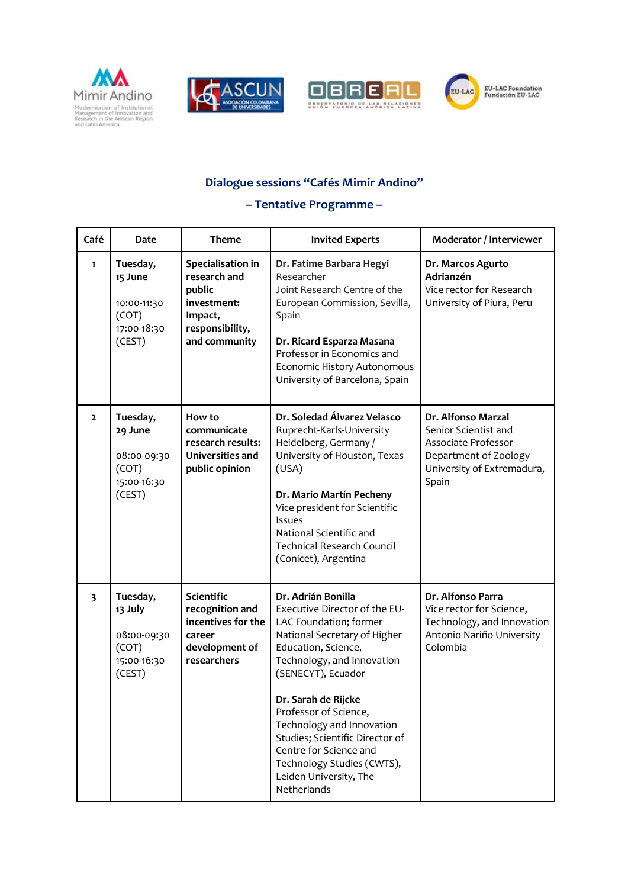







## **Dialogue sessions "Cafés Mimir Andino"**

## **– Tentative Programme –**

| Café                    | <b>Date</b>                                                          | <b>Theme</b>                                                                                              | <b>Invited Experts</b>                                                                                                                                                                                                                                                                                                                                                                                    | Moderator / Interviewer                                                                                                           |
|-------------------------|----------------------------------------------------------------------|-----------------------------------------------------------------------------------------------------------|-----------------------------------------------------------------------------------------------------------------------------------------------------------------------------------------------------------------------------------------------------------------------------------------------------------------------------------------------------------------------------------------------------------|-----------------------------------------------------------------------------------------------------------------------------------|
| 1                       | Tuesday,<br>15 June<br>10:00-11:30<br>(COT)<br>17:00-18:30<br>(CEST) | Specialisation in<br>research and<br>public<br>investment:<br>Impact,<br>responsibility,<br>and community | Dr. Fatime Barbara Hegyi<br>Researcher<br>Joint Research Centre of the<br>European Commission, Sevilla,<br>Spain<br>Dr. Ricard Esparza Masana<br>Professor in Economics and<br>Economic History Autonomous<br>University of Barcelona, Spain                                                                                                                                                              | Dr. Marcos Agurto<br>Adrianzén<br>Vice rector for Research<br>University of Piura, Peru                                           |
| $\mathbf{z}$            | Tuesday,<br>29 June<br>08:00-09:30<br>(COT)<br>15:00-16:30<br>(CEST) | How to<br>communicate<br>research results:<br>Universities and<br>public opinion                          | Dr. Soledad Álvarez Velasco<br>Ruprecht-Karls-University<br>Heidelberg, Germany /<br>University of Houston, Texas<br>(USA)<br>Dr. Mario Martín Pecheny<br>Vice president for Scientific<br><b>Issues</b><br>National Scientific and<br><b>Technical Research Council</b><br>(Conicet), Argentina                                                                                                          | Dr. Alfonso Marzal<br>Senior Scientist and<br>Associate Professor<br>Department of Zoology<br>University of Extremadura,<br>Spain |
| $\overline{\mathbf{3}}$ | Tuesday,<br>13 July<br>08:00-09:30<br>(COT)<br>15:00-16:30<br>(CEST) | <b>Scientific</b><br>recognition and<br>incentives for the<br>career<br>development of<br>researchers     | Dr. Adrián Bonilla<br>Executive Director of the EU-<br>LAC Foundation; former<br>National Secretary of Higher<br>Education, Science,<br>Technology, and Innovation<br>(SENECYT), Ecuador<br>Dr. Sarah de Rijcke<br>Professor of Science,<br>Technology and Innovation<br>Studies; Scientific Director of<br>Centre for Science and<br>Technology Studies (CWTS),<br>Leiden University, The<br>Netherlands | Dr. Alfonso Parra<br>Vice rector for Science,<br>Technology, and Innovation<br>Antonio Nariño University<br>Colombia              |